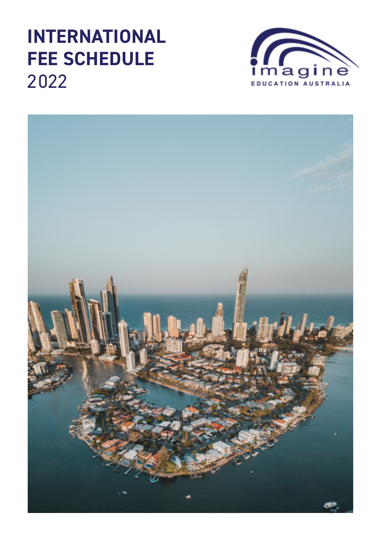# **INTERNATIONAL FEE SCHEDULE** 2022



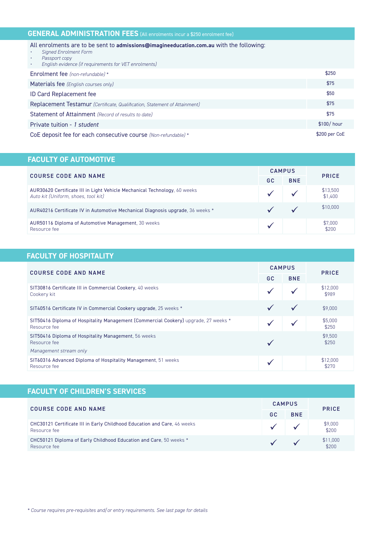| <b>GENERAL ADMINISTRATION FEES</b> (All enrolments incur a \$250 enrolment fee)                                                                                                                                |               |  |  |
|----------------------------------------------------------------------------------------------------------------------------------------------------------------------------------------------------------------|---------------|--|--|
| All enrolments are to be sent to admissions@imagineeducation.com.au with the following:<br><b>Signed Enrolment Form</b><br>Passport copy<br>English evidence (if requirements for VET enrolments)<br>$\bullet$ |               |  |  |
| Enrolment fee (non-refundable) *                                                                                                                                                                               | \$250         |  |  |
| Materials fee (English courses only)                                                                                                                                                                           | \$75          |  |  |
| <b>ID Card Replacement fee</b>                                                                                                                                                                                 | \$50          |  |  |
| Replacement Testamur (Certificate, Qualification, Statement of Attainment)                                                                                                                                     | \$75          |  |  |
| Statement of Attainment (Record of results to date)                                                                                                                                                            | \$75          |  |  |
| Private tuition - 1 student                                                                                                                                                                                    | $$100/$ hour  |  |  |
| CoE deposit fee for each consecutive course (Non-refundable) *                                                                                                                                                 | \$200 per CoE |  |  |

## **FACULTY OF AUTOMOTIVE**

| <b>COURSE CODE AND NAME</b>                                                                                      | <b>CAMPUS</b> |            |                     |
|------------------------------------------------------------------------------------------------------------------|---------------|------------|---------------------|
|                                                                                                                  | GC            | <b>BNE</b> | <b>PRICE</b>        |
| AUR30620 Certificate III in Light Vehicle Mechanical Technology, 60 weeks<br>Auto kit (Uniform, shoes, tool kit) |               |            | \$13,500<br>\$1,400 |
| AUR40216 Certificate IV in Automotive Mechanical Diagnosis upgrade, 36 weeks *                                   |               |            | \$10,000            |
| AUR50116 Diploma of Automotive Management, 30 weeks<br>Resource fee                                              |               |            | \$7,000<br>\$200    |

## **FACULTY OF HOSPITALITY**

| <b>COURSE CODE AND NAME</b>                                                                         | <b>CAMPUS</b> |            | <b>PRICE</b>      |
|-----------------------------------------------------------------------------------------------------|---------------|------------|-------------------|
|                                                                                                     | <b>GC</b>     | <b>BNE</b> |                   |
| SIT30816 Certificate III in Commercial Cookery, 40 weeks<br>Cookery kit                             |               |            | \$12,000<br>\$989 |
| SIT40516 Certificate IV in Commercial Cookery upgrade, 25 weeks *                                   |               |            | \$9,000           |
| SIT50416 Diploma of Hospitality Management (Commercial Cookery) upgrade, 27 weeks *<br>Resource fee |               |            | \$5,000<br>\$250  |
| SIT50416 Diploma of Hospitality Management, 56 weeks<br>Resource fee                                |               |            | \$9,500<br>\$250  |
| Management stream only                                                                              |               |            |                   |
| SIT60316 Advanced Diploma of Hospitality Management, 51 weeks<br>Resource fee                       |               |            | \$12,000<br>\$270 |

| <b>FACULTY OF CHILDREN'S SERVICES</b>                                                    |               |            |                    |
|------------------------------------------------------------------------------------------|---------------|------------|--------------------|
| <b>COURSE CODE AND NAME</b>                                                              | <b>CAMPUS</b> |            | <b>PRICE</b>       |
|                                                                                          | GC.           | <b>BNE</b> |                    |
| CHC30121 Certificate III in Early Childhood Education and Care, 46 weeks<br>Resource fee |               |            | $$9,000$<br>$$200$ |
| CHC50121 Diploma of Early Childhood Education and Care, 50 weeks *<br>Resource fee       |               |            | \$11,000<br>\$200  |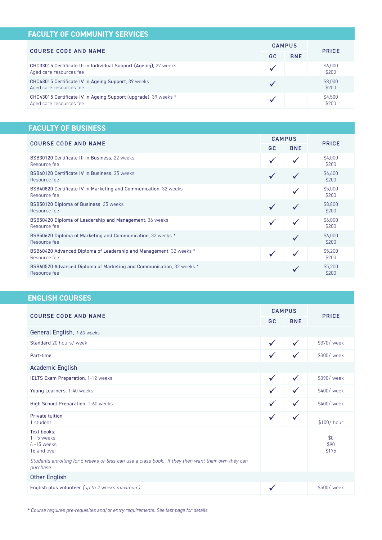| <b>FACULTY OF COMMUNITY SERVICES</b>                                                         |               |            |                  |
|----------------------------------------------------------------------------------------------|---------------|------------|------------------|
| <b>COURSE CODE AND NAME</b>                                                                  | <b>CAMPUS</b> |            | <b>PRICE</b>     |
|                                                                                              | GC            | <b>BNE</b> |                  |
| CHC33015 Certificate III in Individual Support (Ageing), 27 weeks<br>Aged care resources fee |               |            | \$6,000<br>\$200 |
| CHC43015 Certificate IV in Ageing Support, 39 weeks<br>Aged care resources fee               |               |            | \$8,000<br>\$200 |
| CHC43015 Certificate IV in Ageing Support (upgrade), 39 weeks *<br>Aged care resources fee   |               |            | \$4,500<br>\$200 |

# **FACULTY OF BUSINESS**

| <b>COURSE CODE AND NAME</b>                                                          | <b>CAMPUS</b> |            |                  |
|--------------------------------------------------------------------------------------|---------------|------------|------------------|
|                                                                                      | GC.           | <b>BNE</b> | <b>PRICE</b>     |
| BSB30120 Certificate III in Business, 22 weeks<br>Resource fee                       |               |            | \$4,000<br>\$200 |
| BSB40120 Certificate IV in Business, 35 weeks<br>Resource fee                        |               |            | \$6,600<br>\$200 |
| BSB40820 Certificate IV in Marketing and Communication, 32 weeks<br>Resource fee     |               |            | \$5,000<br>\$200 |
| BSB50120 Diploma of Business, 35 weeks<br>Resource fee                               |               |            | \$8,800<br>\$200 |
| BSB50420 Diploma of Leadership and Management, 36 weeks<br>Resource fee              |               |            | \$6,000<br>\$200 |
| BSB50620 Diploma of Marketing and Communication, 32 weeks *<br>Resource fee          |               |            | \$6,000<br>\$200 |
| BSB60420 Advanced Diploma of Leadership and Management, 32 weeks *<br>Resource fee   |               |            | \$5,200<br>\$200 |
| BSB60520 Advanced Diploma of Marketing and Communication, 32 weeks *<br>Resource fee |               |            | \$5,200<br>\$200 |

## ENGLISH COURSES

| <b>COURSE CODE AND NAME</b>                                                                                    | <b>CAMPUS</b> |              |                      |
|----------------------------------------------------------------------------------------------------------------|---------------|--------------|----------------------|
|                                                                                                                | <b>GC</b>     | <b>BNE</b>   | <b>PRICE</b>         |
| General English, 1-60 weeks                                                                                    |               |              |                      |
| Standard 20 hours/ week                                                                                        | $\checkmark$  | $\checkmark$ | \$370/ week          |
| Part-time                                                                                                      |               |              | \$300/ week          |
| <b>Academic English</b>                                                                                        |               |              |                      |
| IELTS Exam Preparation, 1-12 weeks                                                                             | $\checkmark$  | $\checkmark$ | \$390/ week          |
| Young Learners, 1-40 weeks                                                                                     | $\checkmark$  | $\checkmark$ | \$400/week           |
| High School Preparation, 1-60 weeks                                                                            | $\checkmark$  | $\checkmark$ | \$400/ week          |
| Private tuition<br>1 student                                                                                   | $\checkmark$  | $\checkmark$ | \$100/hour           |
| Text books:<br>$1 - 5$ weeks<br>$6 - 15$ weeks<br>16 and over                                                  |               |              | \$0<br>\$90<br>\$175 |
| Students enrolling for 5 weeks or less can use a class book. If they then want their own they can<br>purchase. |               |              |                      |
| <b>Other English</b>                                                                                           |               |              |                      |
| English plus volunteer (up to 2 weeks maximum)                                                                 | V             |              | \$500/ week          |

\* Course requires pre-requisites and/or entry requirements. See last page for details